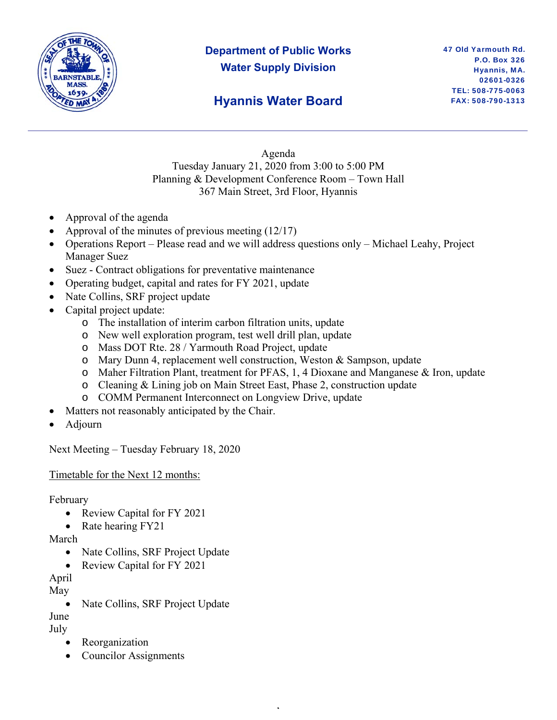

## **Department of Public Works Water Supply Division**

## **Hyannis Water Board**

Agenda Tuesday January 21, 2020 from 3:00 to 5:00 PM Planning & Development Conference Room – Town Hall 367 Main Street, 3rd Floor, Hyannis

- Approval of the agenda
- Approval of the minutes of previous meeting (12/17)
- Operations Report Please read and we will address questions only Michael Leahy, Project Manager Suez
- Suez Contract obligations for preventative maintenance
- Operating budget, capital and rates for FY 2021, update
- Nate Collins, SRF project update
- Capital project update:
	- o The installation of interim carbon filtration units, update
	- o New well exploration program, test well drill plan, update
	- o Mass DOT Rte. 28 / Yarmouth Road Project, update
	- o Mary Dunn 4, replacement well construction, Weston & Sampson, update
	- o Maher Filtration Plant, treatment for PFAS, 1, 4 Dioxane and Manganese & Iron, update

,

- o Cleaning & Lining job on Main Street East, Phase 2, construction update
- o COMM Permanent Interconnect on Longview Drive, update
- Matters not reasonably anticipated by the Chair.
- Adjourn

Next Meeting – Tuesday February 18, 2020

Timetable for the Next 12 months:

February

- Review Capital for FY 2021
- Rate hearing FY21

March

- Nate Collins, SRF Project Update
- Review Capital for FY 2021

April

May

• Nate Collins, SRF Project Update

June

July

- Reorganization
- Councilor Assignments